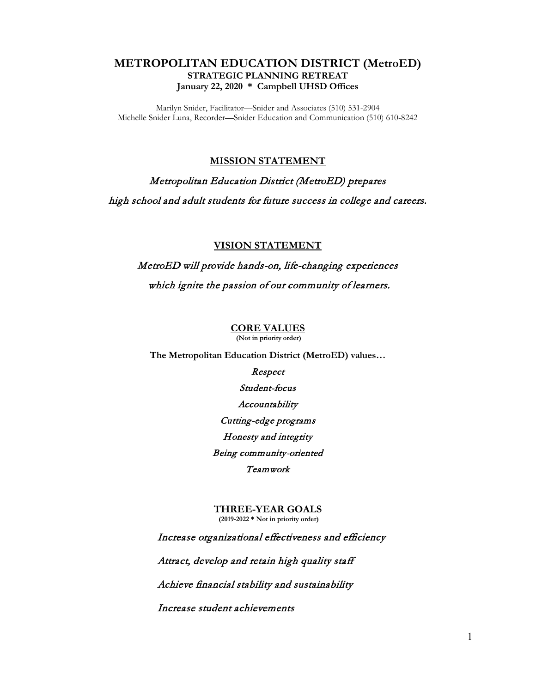## **METROPOLITAN EDUCATION DISTRICT (MetroED) STRATEGIC PLANNING RETREAT January 22, 2020 \* Campbell UHSD Offices**

Marilyn Snider, Facilitator—Snider and Associates (510) 531-2904 Michelle Snider Luna, Recorder—Snider Education and Communication (510) 610-8242

## **MISSION STATEMENT**

Metropolitan Education District (MetroED) prepares high school and adult students for future success in college and careers.

## **VISION STATEMENT**

MetroED will provide hands-on, life-changing experiences which ignite the passion of our community of learners.

## **CORE VALUES**

**(Not in priority order)**

**The Metropolitan Education District (MetroED) values…**

Respect Student-focus Accountability Cutting-edge programs Honesty and integrity Being community-oriented Teamwork

**THREE-YEAR GOALS (2019-2022 \* Not in priority order)**

 Increase organizational effectiveness and efficiency Attract, develop and retain high quality staff Achieve financial stability and sustainability Increase student achievements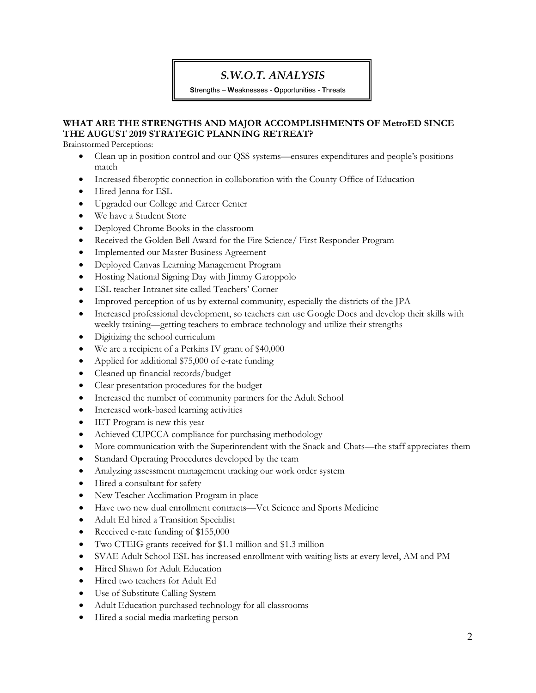# *S.W.O.T. ANALYSIS*

**S**trengths – **W**eaknesses - **O**pportunities - **T**hreats

## **WHAT ARE THE STRENGTHS AND MAJOR ACCOMPLISHMENTS OF MetroED SINCE THE AUGUST 2019 STRATEGIC PLANNING RETREAT?**

Brainstormed Perceptions:

- Clean up in position control and our QSS systems—ensures expenditures and people's positions match
- Increased fiberoptic connection in collaboration with the County Office of Education
- Hired Jenna for ESL
- Upgraded our College and Career Center
- We have a Student Store
- Deployed Chrome Books in the classroom
- Received the Golden Bell Award for the Fire Science/ First Responder Program
- Implemented our Master Business Agreement
- Deployed Canvas Learning Management Program
- Hosting National Signing Day with Jimmy Garoppolo
- ESL teacher Intranet site called Teachers' Corner
- Improved perception of us by external community, especially the districts of the JPA
- Increased professional development, so teachers can use Google Docs and develop their skills with weekly training—getting teachers to embrace technology and utilize their strengths
- Digitizing the school curriculum
- We are a recipient of a Perkins IV grant of \$40,000
- Applied for additional \$75,000 of e-rate funding
- Cleaned up financial records/budget
- Clear presentation procedures for the budget
- Increased the number of community partners for the Adult School
- Increased work-based learning activities
- IET Program is new this year
- Achieved CUPCCA compliance for purchasing methodology
- More communication with the Superintendent with the Snack and Chats—the staff appreciates them
- Standard Operating Procedures developed by the team
- Analyzing assessment management tracking our work order system
- Hired a consultant for safety
- New Teacher Acclimation Program in place
- Have two new dual enrollment contracts—Vet Science and Sports Medicine
- Adult Ed hired a Transition Specialist
- Received e-rate funding of \$155,000
- Two CTEIG grants received for \$1.1 million and \$1.3 million
- SVAE Adult School ESL has increased enrollment with waiting lists at every level, AM and PM
- Hired Shawn for Adult Education
- Hired two teachers for Adult Ed
- Use of Substitute Calling System
- Adult Education purchased technology for all classrooms
- Hired a social media marketing person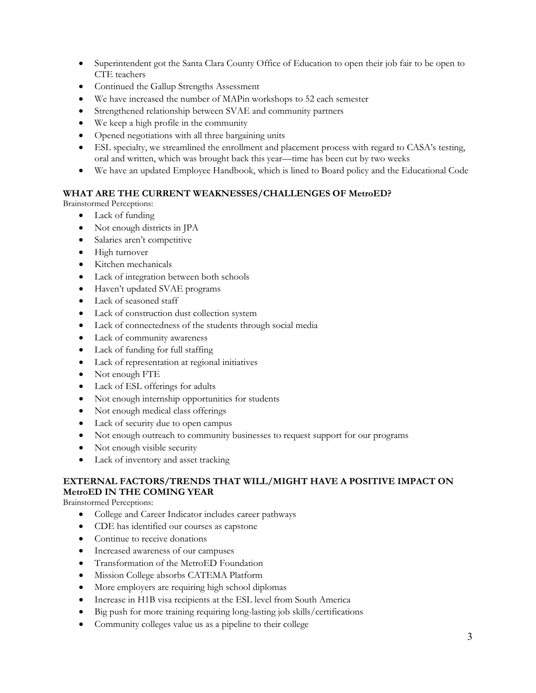- Superintendent got the Santa Clara County Office of Education to open their job fair to be open to CTE teachers
- Continued the Gallup Strengths Assessment
- We have increased the number of MAPin workshops to 52 each semester
- Strengthened relationship between SVAE and community partners
- We keep a high profile in the community
- Opened negotiations with all three bargaining units
- ESL specialty, we streamlined the enrollment and placement process with regard to CASA's testing, oral and written, which was brought back this year—time has been cut by two weeks
- We have an updated Employee Handbook, which is lined to Board policy and the Educational Code

## **WHAT ARE THE CURRENT WEAKNESSES/CHALLENGES OF MetroED?**

Brainstormed Perceptions:

- Lack of funding
- Not enough districts in JPA
- Salaries aren't competitive
- High turnover
- Kitchen mechanicals
- Lack of integration between both schools
- Haven't updated SVAE programs
- Lack of seasoned staff
- Lack of construction dust collection system
- Lack of connectedness of the students through social media
- Lack of community awareness
- Lack of funding for full staffing
- Lack of representation at regional initiatives
- Not enough FTE
- Lack of ESL offerings for adults
- Not enough internship opportunities for students
- Not enough medical class offerings
- Lack of security due to open campus
- Not enough outreach to community businesses to request support for our programs
- Not enough visible security
- Lack of inventory and asset tracking

## **EXTERNAL FACTORS/TRENDS THAT WILL/MIGHT HAVE A POSITIVE IMPACT ON MetroED IN THE COMING YEAR**

Brainstormed Perceptions:

- College and Career Indicator includes career pathways
- CDE has identified our courses as capstone
- Continue to receive donations
- Increased awareness of our campuses
- Transformation of the MetroED Foundation
- Mission College absorbs CATEMA Platform
- More employers are requiring high school diplomas
- Increase in H1B visa recipients at the ESL level from South America
- Big push for more training requiring long-lasting job skills/certifications
- Community colleges value us as a pipeline to their college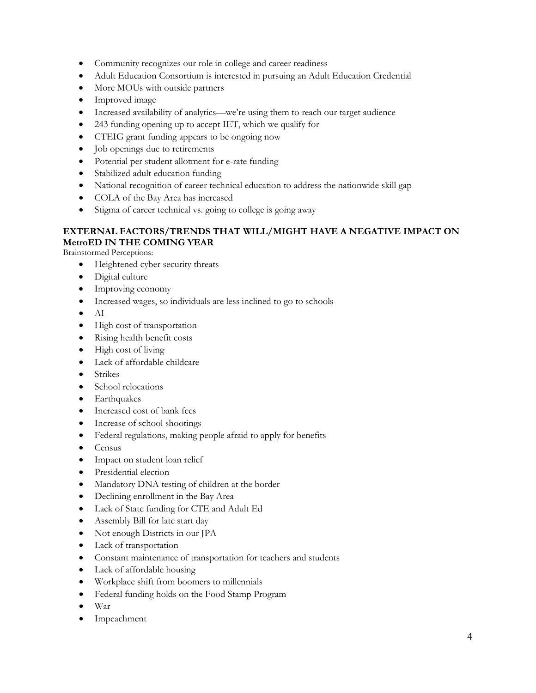- Community recognizes our role in college and career readiness
- Adult Education Consortium is interested in pursuing an Adult Education Credential
- More MOUs with outside partners
- Improved image
- Increased availability of analytics—we're using them to reach our target audience
- 243 funding opening up to accept IET, which we qualify for
- CTEIG grant funding appears to be ongoing now
- Job openings due to retirements
- Potential per student allotment for e-rate funding
- Stabilized adult education funding
- National recognition of career technical education to address the nationwide skill gap
- COLA of the Bay Area has increased
- Stigma of career technical vs. going to college is going away

## **EXTERNAL FACTORS/TRENDS THAT WILL/MIGHT HAVE A NEGATIVE IMPACT ON MetroED IN THE COMING YEAR**

Brainstormed Perceptions:

- Heightened cyber security threats
- Digital culture
- Improving economy
- Increased wages, so individuals are less inclined to go to schools
- AI
- High cost of transportation
- Rising health benefit costs
- High cost of living
- Lack of affordable childcare
- Strikes
- School relocations
- Earthquakes
- Increased cost of bank fees
- Increase of school shootings
- Federal regulations, making people afraid to apply for benefits
- Census
- Impact on student loan relief
- Presidential election
- Mandatory DNA testing of children at the border
- Declining enrollment in the Bay Area
- Lack of State funding for CTE and Adult Ed
- Assembly Bill for late start day
- Not enough Districts in our JPA
- Lack of transportation
- Constant maintenance of transportation for teachers and students
- Lack of affordable housing
- Workplace shift from boomers to millennials
- Federal funding holds on the Food Stamp Program
- War
- Impeachment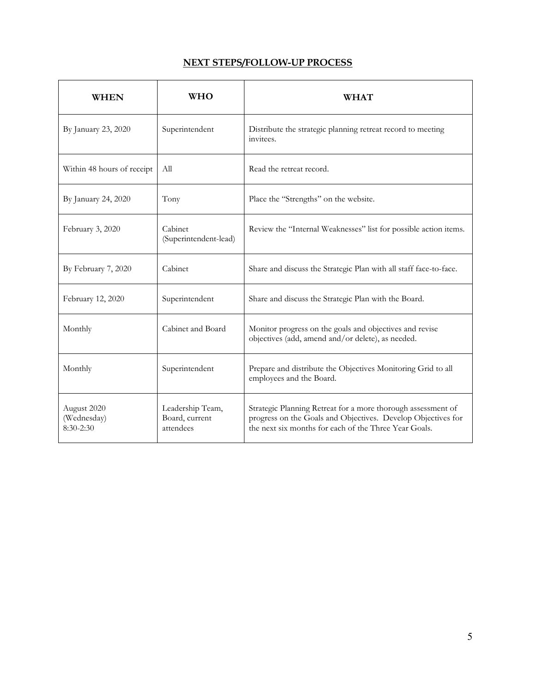# **NEXT STEPS/FOLLOW-UP PROCESS**

| <b>WHEN</b>                               | <b>WHO</b>                                      | <b>WHAT</b>                                                                                                                                                                           |
|-------------------------------------------|-------------------------------------------------|---------------------------------------------------------------------------------------------------------------------------------------------------------------------------------------|
| By January 23, 2020                       | Superintendent                                  | Distribute the strategic planning retreat record to meeting<br>invitees.                                                                                                              |
| Within 48 hours of receipt                | All                                             | Read the retreat record.                                                                                                                                                              |
| By January 24, 2020                       | Tony                                            | Place the "Strengths" on the website.                                                                                                                                                 |
| February 3, 2020                          | Cabinet<br>(Superintendent-lead)                | Review the "Internal Weaknesses" list for possible action items.                                                                                                                      |
| By February 7, 2020                       | Cabinet                                         | Share and discuss the Strategic Plan with all staff face-to-face.                                                                                                                     |
| February 12, 2020                         | Superintendent                                  | Share and discuss the Strategic Plan with the Board.                                                                                                                                  |
| Monthly                                   | Cabinet and Board                               | Monitor progress on the goals and objectives and revise<br>objectives (add, amend and/or delete), as needed.                                                                          |
| Monthly                                   | Superintendent                                  | Prepare and distribute the Objectives Monitoring Grid to all<br>employees and the Board.                                                                                              |
| August 2020<br>(Wednesday)<br>$8:30-2:30$ | Leadership Team,<br>Board, current<br>attendees | Strategic Planning Retreat for a more thorough assessment of<br>progress on the Goals and Objectives. Develop Objectives for<br>the next six months for each of the Three Year Goals. |